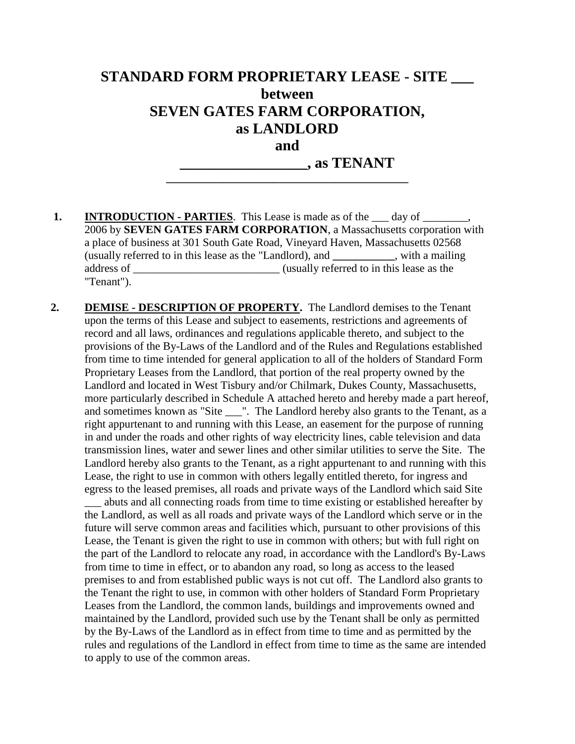### **STANDARD FORM PROPRIETARY LEASE - SITE \_\_\_ between SEVEN GATES FARM CORPORATION, as LANDLORD and**

**\_\_\_\_\_\_\_\_\_\_\_\_\_\_\_\_\_\_\_\_\_\_\_\_\_\_\_\_\_\_\_\_\_\_\_\_\_\_\_\_\_\_\_**

**\_\_\_\_\_\_\_\_\_\_\_\_\_\_\_\_\_, as TENANT**

- **1. INTRODUCTION PARTIES**. This Lease is made as of the \_\_\_ day of \_\_\_\_\_\_, 2006 by **SEVEN GATES FARM CORPORATION**, a Massachusetts corporation with a place of business at 301 South Gate Road, Vineyard Haven, Massachusetts 02568 (usually referred to in this lease as the "Landlord), and **\_\_\_\_\_\_\_\_\_\_\_**, with a mailing address of \_\_\_\_\_\_\_\_\_\_\_\_\_\_\_\_\_\_\_\_\_\_\_\_\_\_ (usually referred to in this lease as the "Tenant").
- **2. DEMISE - DESCRIPTION OF PROPERTY.** The Landlord demises to the Tenant upon the terms of this Lease and subject to easements, restrictions and agreements of record and all laws, ordinances and regulations applicable thereto, and subject to the provisions of the By-Laws of the Landlord and of the Rules and Regulations established from time to time intended for general application to all of the holders of Standard Form Proprietary Leases from the Landlord, that portion of the real property owned by the Landlord and located in West Tisbury and/or Chilmark, Dukes County, Massachusetts, more particularly described in Schedule A attached hereto and hereby made a part hereof, and sometimes known as "Site \_\_\_". The Landlord hereby also grants to the Tenant, as a right appurtenant to and running with this Lease, an easement for the purpose of running in and under the roads and other rights of way electricity lines, cable television and data transmission lines, water and sewer lines and other similar utilities to serve the Site. The Landlord hereby also grants to the Tenant, as a right appurtenant to and running with this Lease, the right to use in common with others legally entitled thereto, for ingress and egress to the leased premises, all roads and private ways of the Landlord which said Site

\_\_\_ abuts and all connecting roads from time to time existing or established hereafter by the Landlord, as well as all roads and private ways of the Landlord which serve or in the future will serve common areas and facilities which, pursuant to other provisions of this Lease, the Tenant is given the right to use in common with others; but with full right on the part of the Landlord to relocate any road, in accordance with the Landlord's By-Laws from time to time in effect, or to abandon any road, so long as access to the leased premises to and from established public ways is not cut off. The Landlord also grants to the Tenant the right to use, in common with other holders of Standard Form Proprietary Leases from the Landlord, the common lands, buildings and improvements owned and maintained by the Landlord, provided such use by the Tenant shall be only as permitted by the By-Laws of the Landlord as in effect from time to time and as permitted by the rules and regulations of the Landlord in effect from time to time as the same are intended to apply to use of the common areas.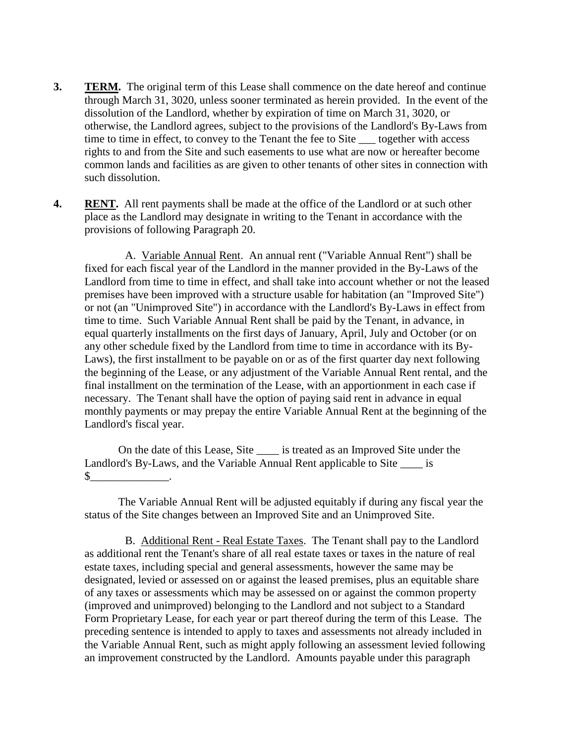- **3. TERM.** The original term of this Lease shall commence on the date hereof and continue through March 31, 3020, unless sooner terminated as herein provided. In the event of the dissolution of the Landlord, whether by expiration of time on March 31, 3020, or otherwise, the Landlord agrees, subject to the provisions of the Landlord's By-Laws from time to time in effect, to convey to the Tenant the fee to Site \_\_\_ together with access rights to and from the Site and such easements to use what are now or hereafter become common lands and facilities as are given to other tenants of other sites in connection with such dissolution.
- **4. RENT.** All rent payments shall be made at the office of the Landlord or at such other place as the Landlord may designate in writing to the Tenant in accordance with the provisions of following Paragraph 20.

A. Variable Annual Rent. An annual rent ("Variable Annual Rent") shall be fixed for each fiscal year of the Landlord in the manner provided in the By-Laws of the Landlord from time to time in effect, and shall take into account whether or not the leased premises have been improved with a structure usable for habitation (an "Improved Site") or not (an "Unimproved Site") in accordance with the Landlord's By-Laws in effect from time to time. Such Variable Annual Rent shall be paid by the Tenant, in advance, in equal quarterly installments on the first days of January, April, July and October (or on any other schedule fixed by the Landlord from time to time in accordance with its By-Laws), the first installment to be payable on or as of the first quarter day next following the beginning of the Lease, or any adjustment of the Variable Annual Rent rental, and the final installment on the termination of the Lease, with an apportionment in each case if necessary. The Tenant shall have the option of paying said rent in advance in equal monthly payments or may prepay the entire Variable Annual Rent at the beginning of the Landlord's fiscal year.

On the date of this Lease, Site is treated as an Improved Site under the Landlord's By-Laws, and the Variable Annual Rent applicable to Site \_\_\_\_\_ is  $\mathbb{S}$  .

The Variable Annual Rent will be adjusted equitably if during any fiscal year the status of the Site changes between an Improved Site and an Unimproved Site.

B. Additional Rent - Real Estate Taxes. The Tenant shall pay to the Landlord as additional rent the Tenant's share of all real estate taxes or taxes in the nature of real estate taxes, including special and general assessments, however the same may be designated, levied or assessed on or against the leased premises, plus an equitable share of any taxes or assessments which may be assessed on or against the common property (improved and unimproved) belonging to the Landlord and not subject to a Standard Form Proprietary Lease, for each year or part thereof during the term of this Lease. The preceding sentence is intended to apply to taxes and assessments not already included in the Variable Annual Rent, such as might apply following an assessment levied following an improvement constructed by the Landlord. Amounts payable under this paragraph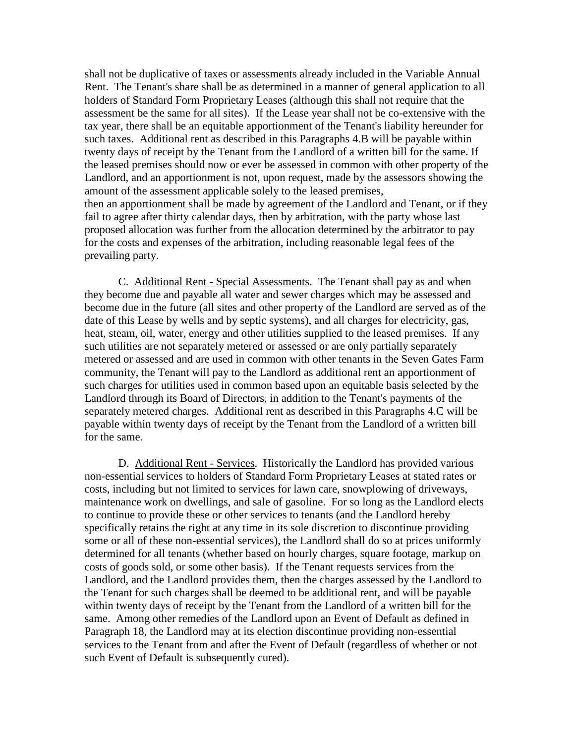shall not be duplicative of taxes or assessments already included in the Variable Annual Rent. The Tenant's share shall be as determined in a manner of general application to all holders of Standard Form Proprietary Leases (although this shall not require that the assessment be the same for all sites). If the Lease year shall not be co-extensive with the tax year, there shall be an equitable apportionment of the Tenant's liability hereunder for such taxes. Additional rent as described in this Paragraphs 4.B will be payable within twenty days of receipt by the Tenant from the Landlord of a written bill for the same. If the leased premises should now or ever be assessed in common with other property of the Landlord, and an apportionment is not, upon request, made by the assessors showing the amount of the assessment applicable solely to the leased premises, then an apportionment shall be made by agreement of the Landlord and Tenant, or if they fail to agree after thirty calendar days, then by arbitration, with the party whose last proposed allocation was further from the allocation determined by the arbitrator to pay for the costs and expenses of the arbitration, including reasonable legal fees of the prevailing party.

C. Additional Rent - Special Assessments. The Tenant shall pay as and when they become due and payable all water and sewer charges which may be assessed and become due in the future (all sites and other property of the Landlord are served as of the date of this Lease by wells and by septic systems), and all charges for electricity, gas, heat, steam, oil, water, energy and other utilities supplied to the leased premises. If any such utilities are not separately metered or assessed or are only partially separately metered or assessed and are used in common with other tenants in the Seven Gates Farm community, the Tenant will pay to the Landlord as additional rent an apportionment of such charges for utilities used in common based upon an equitable basis selected by the Landlord through its Board of Directors, in addition to the Tenant's payments of the separately metered charges. Additional rent as described in this Paragraphs 4.C will be payable within twenty days of receipt by the Tenant from the Landlord of a written bill for the same.

D. Additional Rent - Services. Historically the Landlord has provided various non-essential services to holders of Standard Form Proprietary Leases at stated rates or costs, including but not limited to services for lawn care, snowplowing of driveways, maintenance work on dwellings, and sale of gasoline. For so long as the Landlord elects to continue to provide these or other services to tenants (and the Landlord hereby specifically retains the right at any time in its sole discretion to discontinue providing some or all of these non-essential services), the Landlord shall do so at prices uniformly determined for all tenants (whether based on hourly charges, square footage, markup on costs of goods sold, or some other basis). If the Tenant requests services from the Landlord, and the Landlord provides them, then the charges assessed by the Landlord to the Tenant for such charges shall be deemed to be additional rent, and will be payable within twenty days of receipt by the Tenant from the Landlord of a written bill for the same. Among other remedies of the Landlord upon an Event of Default as defined in Paragraph 18, the Landlord may at its election discontinue providing non-essential services to the Tenant from and after the Event of Default (regardless of whether or not such Event of Default is subsequently cured).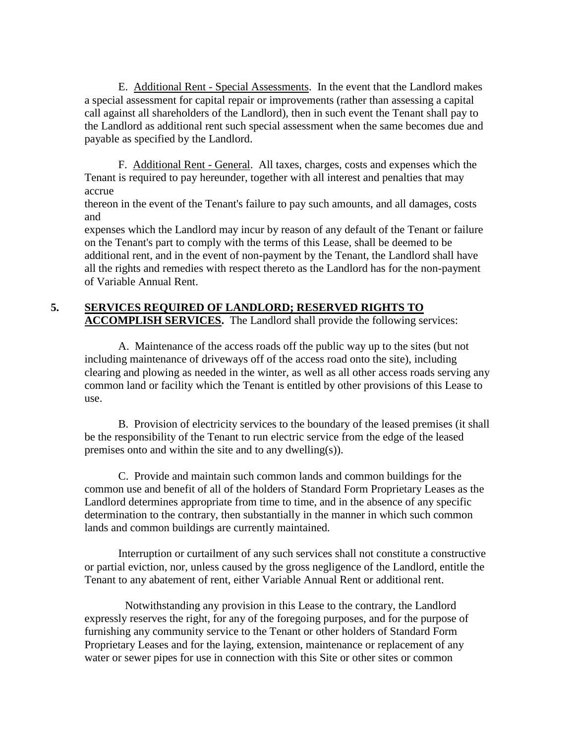E. Additional Rent - Special Assessments. In the event that the Landlord makes a special assessment for capital repair or improvements (rather than assessing a capital call against all shareholders of the Landlord), then in such event the Tenant shall pay to the Landlord as additional rent such special assessment when the same becomes due and payable as specified by the Landlord.

F. Additional Rent - General. All taxes, charges, costs and expenses which the Tenant is required to pay hereunder, together with all interest and penalties that may accrue

thereon in the event of the Tenant's failure to pay such amounts, and all damages, costs and

expenses which the Landlord may incur by reason of any default of the Tenant or failure on the Tenant's part to comply with the terms of this Lease, shall be deemed to be additional rent, and in the event of non-payment by the Tenant, the Landlord shall have all the rights and remedies with respect thereto as the Landlord has for the non-payment of Variable Annual Rent.

#### **5. SERVICES REQUIRED OF LANDLORD; RESERVED RIGHTS TO ACCOMPLISH SERVICES.** The Landlord shall provide the following services:

A. Maintenance of the access roads off the public way up to the sites (but not including maintenance of driveways off of the access road onto the site), including clearing and plowing as needed in the winter, as well as all other access roads serving any common land or facility which the Tenant is entitled by other provisions of this Lease to use.

B. Provision of electricity services to the boundary of the leased premises (it shall be the responsibility of the Tenant to run electric service from the edge of the leased premises onto and within the site and to any dwelling(s)).

C. Provide and maintain such common lands and common buildings for the common use and benefit of all of the holders of Standard Form Proprietary Leases as the Landlord determines appropriate from time to time, and in the absence of any specific determination to the contrary, then substantially in the manner in which such common lands and common buildings are currently maintained.

Interruption or curtailment of any such services shall not constitute a constructive or partial eviction, nor, unless caused by the gross negligence of the Landlord, entitle the Tenant to any abatement of rent, either Variable Annual Rent or additional rent.

Notwithstanding any provision in this Lease to the contrary, the Landlord expressly reserves the right, for any of the foregoing purposes, and for the purpose of furnishing any community service to the Tenant or other holders of Standard Form Proprietary Leases and for the laying, extension, maintenance or replacement of any water or sewer pipes for use in connection with this Site or other sites or common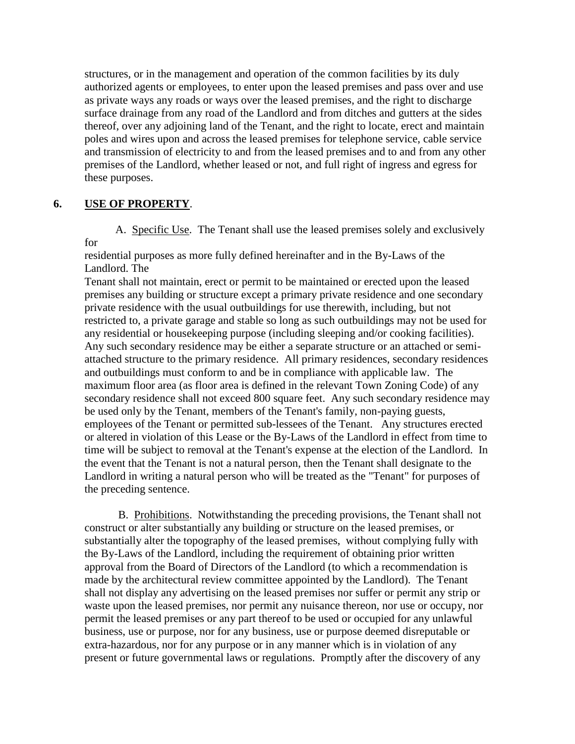structures, or in the management and operation of the common facilities by its duly authorized agents or employees, to enter upon the leased premises and pass over and use as private ways any roads or ways over the leased premises, and the right to discharge surface drainage from any road of the Landlord and from ditches and gutters at the sides thereof, over any adjoining land of the Tenant, and the right to locate, erect and maintain poles and wires upon and across the leased premises for telephone service, cable service and transmission of electricity to and from the leased premises and to and from any other premises of the Landlord, whether leased or not, and full right of ingress and egress for these purposes.

#### **6. USE OF PROPERTY**.

 A. Specific Use. The Tenant shall use the leased premises solely and exclusively for

residential purposes as more fully defined hereinafter and in the By-Laws of the Landlord. The

Tenant shall not maintain, erect or permit to be maintained or erected upon the leased premises any building or structure except a primary private residence and one secondary private residence with the usual outbuildings for use therewith, including, but not restricted to, a private garage and stable so long as such outbuildings may not be used for any residential or housekeeping purpose (including sleeping and/or cooking facilities). Any such secondary residence may be either a separate structure or an attached or semiattached structure to the primary residence. All primary residences, secondary residences and outbuildings must conform to and be in compliance with applicable law. The maximum floor area (as floor area is defined in the relevant Town Zoning Code) of any secondary residence shall not exceed 800 square feet. Any such secondary residence may be used only by the Tenant, members of the Tenant's family, non-paying guests, employees of the Tenant or permitted sub-lessees of the Tenant. Any structures erected or altered in violation of this Lease or the By-Laws of the Landlord in effect from time to time will be subject to removal at the Tenant's expense at the election of the Landlord. In the event that the Tenant is not a natural person, then the Tenant shall designate to the Landlord in writing a natural person who will be treated as the "Tenant" for purposes of the preceding sentence.

B. Prohibitions. Notwithstanding the preceding provisions, the Tenant shall not construct or alter substantially any building or structure on the leased premises, or substantially alter the topography of the leased premises, without complying fully with the By-Laws of the Landlord, including the requirement of obtaining prior written approval from the Board of Directors of the Landlord (to which a recommendation is made by the architectural review committee appointed by the Landlord). The Tenant shall not display any advertising on the leased premises nor suffer or permit any strip or waste upon the leased premises, nor permit any nuisance thereon, nor use or occupy, nor permit the leased premises or any part thereof to be used or occupied for any unlawful business, use or purpose, nor for any business, use or purpose deemed disreputable or extra-hazardous, nor for any purpose or in any manner which is in violation of any present or future governmental laws or regulations. Promptly after the discovery of any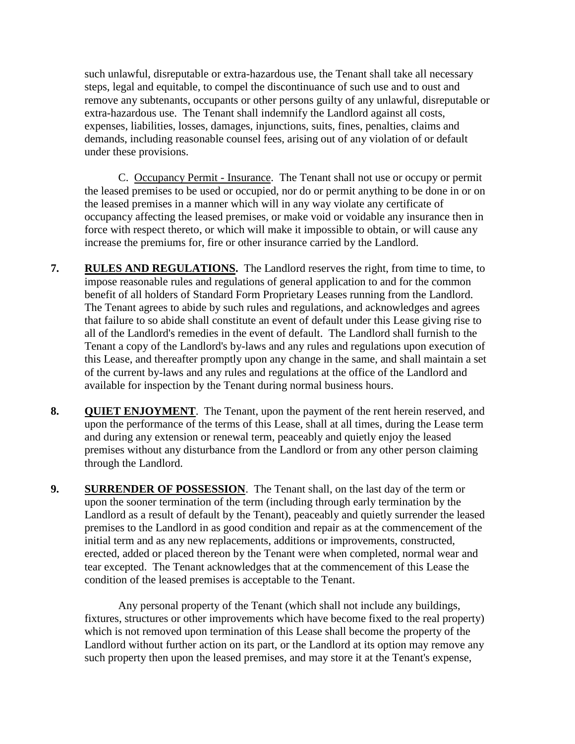such unlawful, disreputable or extra-hazardous use, the Tenant shall take all necessary steps, legal and equitable, to compel the discontinuance of such use and to oust and remove any subtenants, occupants or other persons guilty of any unlawful, disreputable or extra-hazardous use. The Tenant shall indemnify the Landlord against all costs, expenses, liabilities, losses, damages, injunctions, suits, fines, penalties, claims and demands, including reasonable counsel fees, arising out of any violation of or default under these provisions.

C. Occupancy Permit - Insurance. The Tenant shall not use or occupy or permit the leased premises to be used or occupied, nor do or permit anything to be done in or on the leased premises in a manner which will in any way violate any certificate of occupancy affecting the leased premises, or make void or voidable any insurance then in force with respect thereto, or which will make it impossible to obtain, or will cause any increase the premiums for, fire or other insurance carried by the Landlord.

- **7. RULES AND REGULATIONS.** The Landlord reserves the right, from time to time, to impose reasonable rules and regulations of general application to and for the common benefit of all holders of Standard Form Proprietary Leases running from the Landlord. The Tenant agrees to abide by such rules and regulations, and acknowledges and agrees that failure to so abide shall constitute an event of default under this Lease giving rise to all of the Landlord's remedies in the event of default. The Landlord shall furnish to the Tenant a copy of the Landlord's by-laws and any rules and regulations upon execution of this Lease, and thereafter promptly upon any change in the same, and shall maintain a set of the current by-laws and any rules and regulations at the office of the Landlord and available for inspection by the Tenant during normal business hours.
- **8. QUIET ENJOYMENT**. The Tenant, upon the payment of the rent herein reserved, and upon the performance of the terms of this Lease, shall at all times, during the Lease term and during any extension or renewal term, peaceably and quietly enjoy the leased premises without any disturbance from the Landlord or from any other person claiming through the Landlord.
- **9. SURRENDER OF POSSESSION**. The Tenant shall, on the last day of the term or upon the sooner termination of the term (including through early termination by the Landlord as a result of default by the Tenant), peaceably and quietly surrender the leased premises to the Landlord in as good condition and repair as at the commencement of the initial term and as any new replacements, additions or improvements, constructed, erected, added or placed thereon by the Tenant were when completed, normal wear and tear excepted. The Tenant acknowledges that at the commencement of this Lease the condition of the leased premises is acceptable to the Tenant.

Any personal property of the Tenant (which shall not include any buildings, fixtures, structures or other improvements which have become fixed to the real property) which is not removed upon termination of this Lease shall become the property of the Landlord without further action on its part, or the Landlord at its option may remove any such property then upon the leased premises, and may store it at the Tenant's expense,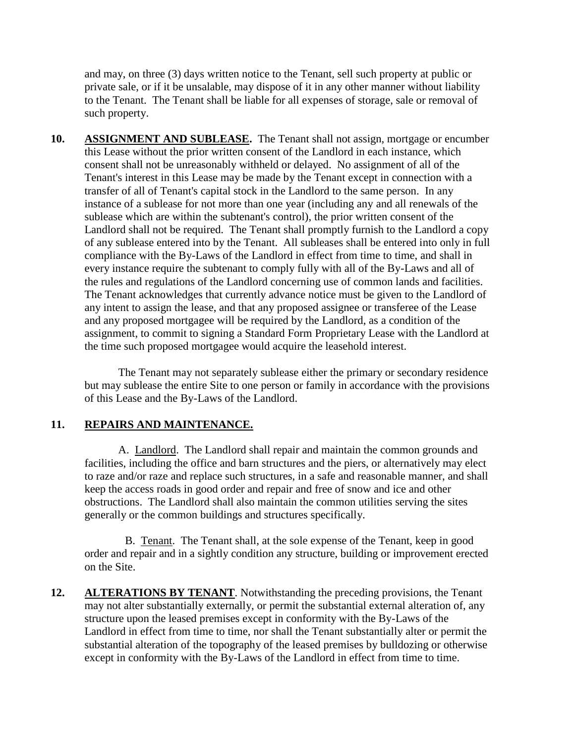and may, on three (3) days written notice to the Tenant, sell such property at public or private sale, or if it be unsalable, may dispose of it in any other manner without liability to the Tenant. The Tenant shall be liable for all expenses of storage, sale or removal of such property.

10. ASSIGNMENT AND SUBLEASE. The Tenant shall not assign, mortgage or encumber this Lease without the prior written consent of the Landlord in each instance, which consent shall not be unreasonably withheld or delayed. No assignment of all of the Tenant's interest in this Lease may be made by the Tenant except in connection with a transfer of all of Tenant's capital stock in the Landlord to the same person. In any instance of a sublease for not more than one year (including any and all renewals of the sublease which are within the subtenant's control), the prior written consent of the Landlord shall not be required. The Tenant shall promptly furnish to the Landlord a copy of any sublease entered into by the Tenant. All subleases shall be entered into only in full compliance with the By-Laws of the Landlord in effect from time to time, and shall in every instance require the subtenant to comply fully with all of the By-Laws and all of the rules and regulations of the Landlord concerning use of common lands and facilities. The Tenant acknowledges that currently advance notice must be given to the Landlord of any intent to assign the lease, and that any proposed assignee or transferee of the Lease and any proposed mortgagee will be required by the Landlord, as a condition of the assignment, to commit to signing a Standard Form Proprietary Lease with the Landlord at the time such proposed mortgagee would acquire the leasehold interest.

The Tenant may not separately sublease either the primary or secondary residence but may sublease the entire Site to one person or family in accordance with the provisions of this Lease and the By-Laws of the Landlord.

#### **11. REPAIRS AND MAINTENANCE.**

A. Landlord. The Landlord shall repair and maintain the common grounds and facilities, including the office and barn structures and the piers, or alternatively may elect to raze and/or raze and replace such structures, in a safe and reasonable manner, and shall keep the access roads in good order and repair and free of snow and ice and other obstructions. The Landlord shall also maintain the common utilities serving the sites generally or the common buildings and structures specifically.

B. Tenant. The Tenant shall, at the sole expense of the Tenant, keep in good order and repair and in a sightly condition any structure, building or improvement erected on the Site.

**12.** ALTERATIONS BY TENANT. Notwithstanding the preceding provisions, the Tenant may not alter substantially externally, or permit the substantial external alteration of, any structure upon the leased premises except in conformity with the By-Laws of the Landlord in effect from time to time, nor shall the Tenant substantially alter or permit the substantial alteration of the topography of the leased premises by bulldozing or otherwise except in conformity with the By-Laws of the Landlord in effect from time to time.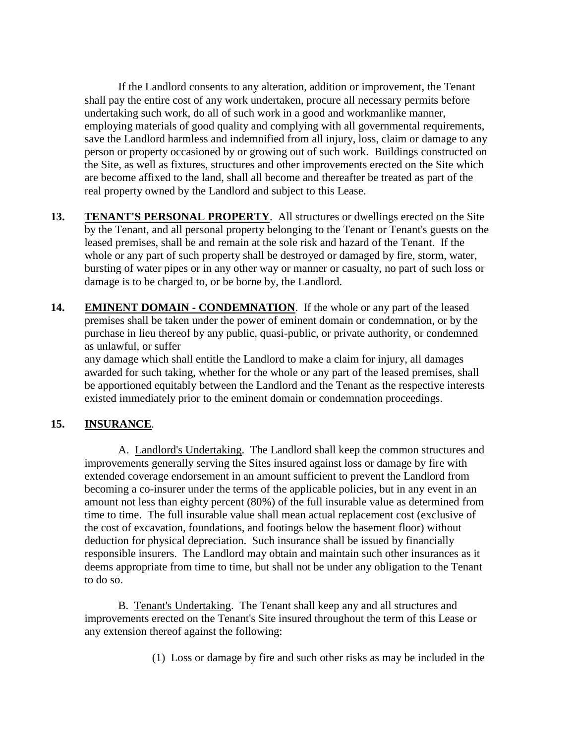If the Landlord consents to any alteration, addition or improvement, the Tenant shall pay the entire cost of any work undertaken, procure all necessary permits before undertaking such work, do all of such work in a good and workmanlike manner, employing materials of good quality and complying with all governmental requirements, save the Landlord harmless and indemnified from all injury, loss, claim or damage to any person or property occasioned by or growing out of such work. Buildings constructed on the Site, as well as fixtures, structures and other improvements erected on the Site which are become affixed to the land, shall all become and thereafter be treated as part of the real property owned by the Landlord and subject to this Lease.

- **13.** TENANT'S PERSONAL PROPERTY. All structures or dwellings erected on the Site by the Tenant, and all personal property belonging to the Tenant or Tenant's guests on the leased premises, shall be and remain at the sole risk and hazard of the Tenant. If the whole or any part of such property shall be destroyed or damaged by fire, storm, water, bursting of water pipes or in any other way or manner or casualty, no part of such loss or damage is to be charged to, or be borne by, the Landlord.
- 14. **EMINENT DOMAIN CONDEMNATION**. If the whole or any part of the leased premises shall be taken under the power of eminent domain or condemnation, or by the purchase in lieu thereof by any public, quasi-public, or private authority, or condemned as unlawful, or suffer

any damage which shall entitle the Landlord to make a claim for injury, all damages awarded for such taking, whether for the whole or any part of the leased premises, shall be apportioned equitably between the Landlord and the Tenant as the respective interests existed immediately prior to the eminent domain or condemnation proceedings.

#### **15. INSURANCE**.

A. Landlord's Undertaking. The Landlord shall keep the common structures and improvements generally serving the Sites insured against loss or damage by fire with extended coverage endorsement in an amount sufficient to prevent the Landlord from becoming a co-insurer under the terms of the applicable policies, but in any event in an amount not less than eighty percent (80%) of the full insurable value as determined from time to time. The full insurable value shall mean actual replacement cost (exclusive of the cost of excavation, foundations, and footings below the basement floor) without deduction for physical depreciation. Such insurance shall be issued by financially responsible insurers. The Landlord may obtain and maintain such other insurances as it deems appropriate from time to time, but shall not be under any obligation to the Tenant to do so.

B. Tenant's Undertaking. The Tenant shall keep any and all structures and improvements erected on the Tenant's Site insured throughout the term of this Lease or any extension thereof against the following:

(1) Loss or damage by fire and such other risks as may be included in the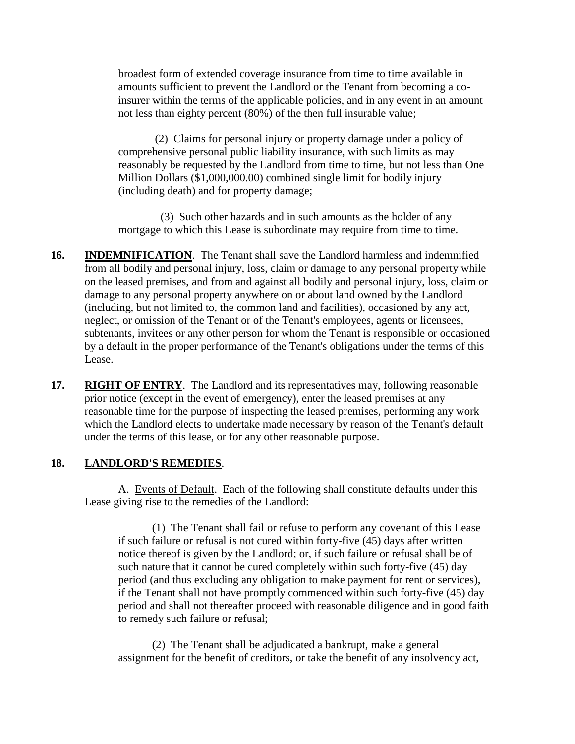broadest form of extended coverage insurance from time to time available in amounts sufficient to prevent the Landlord or the Tenant from becoming a coinsurer within the terms of the applicable policies, and in any event in an amount not less than eighty percent (80%) of the then full insurable value;

 (2) Claims for personal injury or property damage under a policy of comprehensive personal public liability insurance, with such limits as may reasonably be requested by the Landlord from time to time, but not less than One Million Dollars (\$1,000,000.00) combined single limit for bodily injury (including death) and for property damage;

 (3) Such other hazards and in such amounts as the holder of any mortgage to which this Lease is subordinate may require from time to time.

- **16. INDEMNIFICATION**. The Tenant shall save the Landlord harmless and indemnified from all bodily and personal injury, loss, claim or damage to any personal property while on the leased premises, and from and against all bodily and personal injury, loss, claim or damage to any personal property anywhere on or about land owned by the Landlord (including, but not limited to, the common land and facilities), occasioned by any act, neglect, or omission of the Tenant or of the Tenant's employees, agents or licensees, subtenants, invitees or any other person for whom the Tenant is responsible or occasioned by a default in the proper performance of the Tenant's obligations under the terms of this Lease.
- **17. RIGHT OF ENTRY.** The Landlord and its representatives may, following reasonable prior notice (except in the event of emergency), enter the leased premises at any reasonable time for the purpose of inspecting the leased premises, performing any work which the Landlord elects to undertake made necessary by reason of the Tenant's default under the terms of this lease, or for any other reasonable purpose.

#### **18. LANDLORD'S REMEDIES**.

A. Events of Default. Each of the following shall constitute defaults under this Lease giving rise to the remedies of the Landlord:

(1) The Tenant shall fail or refuse to perform any covenant of this Lease if such failure or refusal is not cured within forty-five (45) days after written notice thereof is given by the Landlord; or, if such failure or refusal shall be of such nature that it cannot be cured completely within such forty-five (45) day period (and thus excluding any obligation to make payment for rent or services), if the Tenant shall not have promptly commenced within such forty-five (45) day period and shall not thereafter proceed with reasonable diligence and in good faith to remedy such failure or refusal;

(2) The Tenant shall be adjudicated a bankrupt, make a general assignment for the benefit of creditors, or take the benefit of any insolvency act,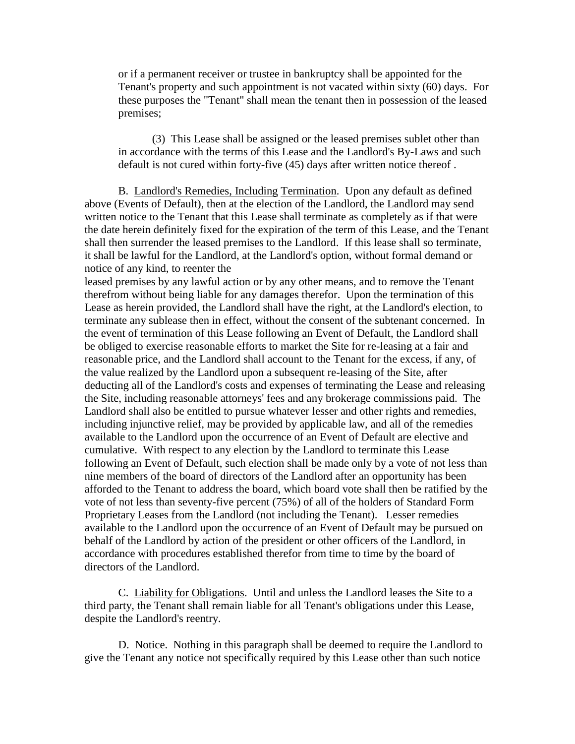or if a permanent receiver or trustee in bankruptcy shall be appointed for the Tenant's property and such appointment is not vacated within sixty (60) days. For these purposes the "Tenant" shall mean the tenant then in possession of the leased premises;

(3) This Lease shall be assigned or the leased premises sublet other than in accordance with the terms of this Lease and the Landlord's By-Laws and such default is not cured within forty-five (45) days after written notice thereof .

B. Landlord's Remedies, Including Termination. Upon any default as defined above (Events of Default), then at the election of the Landlord, the Landlord may send written notice to the Tenant that this Lease shall terminate as completely as if that were the date herein definitely fixed for the expiration of the term of this Lease, and the Tenant shall then surrender the leased premises to the Landlord. If this lease shall so terminate, it shall be lawful for the Landlord, at the Landlord's option, without formal demand or notice of any kind, to reenter the

leased premises by any lawful action or by any other means, and to remove the Tenant therefrom without being liable for any damages therefor. Upon the termination of this Lease as herein provided, the Landlord shall have the right, at the Landlord's election, to terminate any sublease then in effect, without the consent of the subtenant concerned. In the event of termination of this Lease following an Event of Default, the Landlord shall be obliged to exercise reasonable efforts to market the Site for re-leasing at a fair and reasonable price, and the Landlord shall account to the Tenant for the excess, if any, of the value realized by the Landlord upon a subsequent re-leasing of the Site, after deducting all of the Landlord's costs and expenses of terminating the Lease and releasing the Site, including reasonable attorneys' fees and any brokerage commissions paid. The Landlord shall also be entitled to pursue whatever lesser and other rights and remedies, including injunctive relief, may be provided by applicable law, and all of the remedies available to the Landlord upon the occurrence of an Event of Default are elective and cumulative. With respect to any election by the Landlord to terminate this Lease following an Event of Default, such election shall be made only by a vote of not less than nine members of the board of directors of the Landlord after an opportunity has been afforded to the Tenant to address the board, which board vote shall then be ratified by the vote of not less than seventy-five percent (75%) of all of the holders of Standard Form Proprietary Leases from the Landlord (not including the Tenant). Lesser remedies available to the Landlord upon the occurrence of an Event of Default may be pursued on behalf of the Landlord by action of the president or other officers of the Landlord, in accordance with procedures established therefor from time to time by the board of directors of the Landlord.

C. Liability for Obligations. Until and unless the Landlord leases the Site to a third party, the Tenant shall remain liable for all Tenant's obligations under this Lease, despite the Landlord's reentry.

D. Notice. Nothing in this paragraph shall be deemed to require the Landlord to give the Tenant any notice not specifically required by this Lease other than such notice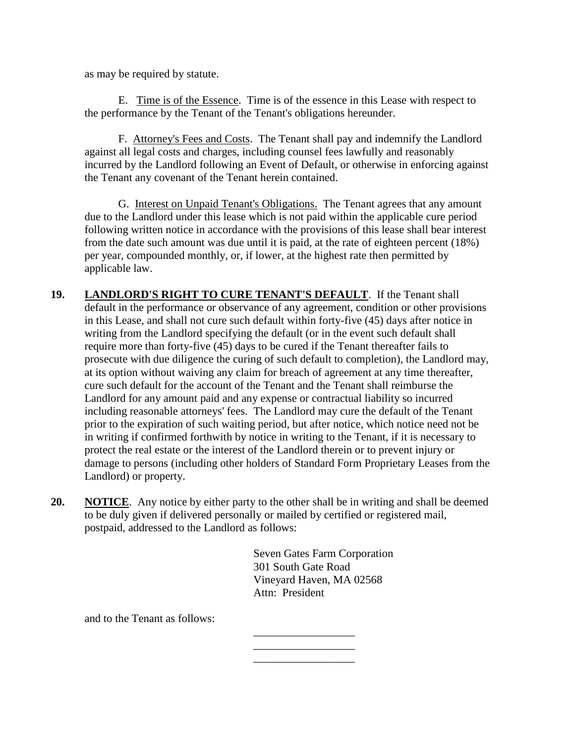as may be required by statute.

E. Time is of the Essence. Time is of the essence in this Lease with respect to the performance by the Tenant of the Tenant's obligations hereunder.

F. Attorney's Fees and Costs. The Tenant shall pay and indemnify the Landlord against all legal costs and charges, including counsel fees lawfully and reasonably incurred by the Landlord following an Event of Default, or otherwise in enforcing against the Tenant any covenant of the Tenant herein contained.

G. Interest on Unpaid Tenant's Obligations. The Tenant agrees that any amount due to the Landlord under this lease which is not paid within the applicable cure period following written notice in accordance with the provisions of this lease shall bear interest from the date such amount was due until it is paid, at the rate of eighteen percent (18%) per year, compounded monthly, or, if lower, at the highest rate then permitted by applicable law.

- **19. LANDLORD'S RIGHT TO CURE TENANT'S DEFAULT**. If the Tenant shall default in the performance or observance of any agreement, condition or other provisions in this Lease, and shall not cure such default within forty-five (45) days after notice in writing from the Landlord specifying the default (or in the event such default shall require more than forty-five (45) days to be cured if the Tenant thereafter fails to prosecute with due diligence the curing of such default to completion), the Landlord may, at its option without waiving any claim for breach of agreement at any time thereafter, cure such default for the account of the Tenant and the Tenant shall reimburse the Landlord for any amount paid and any expense or contractual liability so incurred including reasonable attorneys' fees. The Landlord may cure the default of the Tenant prior to the expiration of such waiting period, but after notice, which notice need not be in writing if confirmed forthwith by notice in writing to the Tenant, if it is necessary to protect the real estate or the interest of the Landlord therein or to prevent injury or damage to persons (including other holders of Standard Form Proprietary Leases from the Landlord) or property.
- **20. NOTICE**. Any notice by either party to the other shall be in writing and shall be deemed to be duly given if delivered personally or mailed by certified or registered mail, postpaid, addressed to the Landlord as follows:

Seven Gates Farm Corporation 301 South Gate Road Vineyard Haven, MA 02568 Attn: President

\_\_\_\_\_\_\_\_\_\_\_\_\_\_\_\_\_\_ \_\_\_\_\_\_\_\_\_\_\_\_\_\_\_\_\_\_ \_\_\_\_\_\_\_\_\_\_\_\_\_\_\_\_\_\_

and to the Tenant as follows: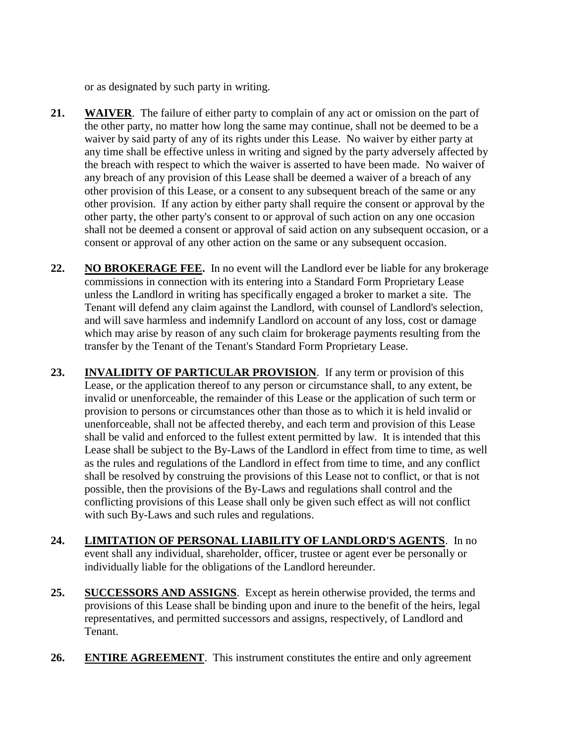or as designated by such party in writing.

- **21. WAIVER**. The failure of either party to complain of any act or omission on the part of the other party, no matter how long the same may continue, shall not be deemed to be a waiver by said party of any of its rights under this Lease. No waiver by either party at any time shall be effective unless in writing and signed by the party adversely affected by the breach with respect to which the waiver is asserted to have been made. No waiver of any breach of any provision of this Lease shall be deemed a waiver of a breach of any other provision of this Lease, or a consent to any subsequent breach of the same or any other provision. If any action by either party shall require the consent or approval by the other party, the other party's consent to or approval of such action on any one occasion shall not be deemed a consent or approval of said action on any subsequent occasion, or a consent or approval of any other action on the same or any subsequent occasion.
- **22. NO BROKERAGE FEE.** In no event will the Landlord ever be liable for any brokerage commissions in connection with its entering into a Standard Form Proprietary Lease unless the Landlord in writing has specifically engaged a broker to market a site. The Tenant will defend any claim against the Landlord, with counsel of Landlord's selection, and will save harmless and indemnify Landlord on account of any loss, cost or damage which may arise by reason of any such claim for brokerage payments resulting from the transfer by the Tenant of the Tenant's Standard Form Proprietary Lease.
- **23. INVALIDITY OF PARTICULAR PROVISION**. If any term or provision of this Lease, or the application thereof to any person or circumstance shall, to any extent, be invalid or unenforceable, the remainder of this Lease or the application of such term or provision to persons or circumstances other than those as to which it is held invalid or unenforceable, shall not be affected thereby, and each term and provision of this Lease shall be valid and enforced to the fullest extent permitted by law. It is intended that this Lease shall be subject to the By-Laws of the Landlord in effect from time to time, as well as the rules and regulations of the Landlord in effect from time to time, and any conflict shall be resolved by construing the provisions of this Lease not to conflict, or that is not possible, then the provisions of the By-Laws and regulations shall control and the conflicting provisions of this Lease shall only be given such effect as will not conflict with such By-Laws and such rules and regulations.
- **24. LIMITATION OF PERSONAL LIABILITY OF LANDLORD'S AGENTS**. In no event shall any individual, shareholder, officer, trustee or agent ever be personally or individually liable for the obligations of the Landlord hereunder.
- 25. SUCCESSORS AND ASSIGNS. Except as herein otherwise provided, the terms and provisions of this Lease shall be binding upon and inure to the benefit of the heirs, legal representatives, and permitted successors and assigns, respectively, of Landlord and Tenant.
- 26. **ENTIRE AGREEMENT**. This instrument constitutes the entire and only agreement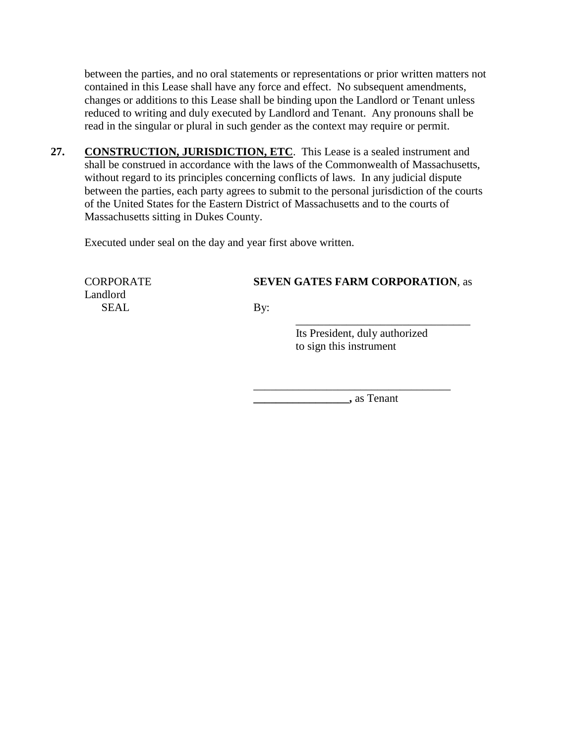between the parties, and no oral statements or representations or prior written matters not contained in this Lease shall have any force and effect. No subsequent amendments, changes or additions to this Lease shall be binding upon the Landlord or Tenant unless reduced to writing and duly executed by Landlord and Tenant. Any pronouns shall be read in the singular or plural in such gender as the context may require or permit.

27. CONSTRUCTION, JURISDICTION, ETC. This Lease is a sealed instrument and shall be construed in accordance with the laws of the Commonwealth of Massachusetts, without regard to its principles concerning conflicts of laws. In any judicial dispute between the parties, each party agrees to submit to the personal jurisdiction of the courts of the United States for the Eastern District of Massachusetts and to the courts of Massachusetts sitting in Dukes County.

Executed under seal on the day and year first above written.

## CORPORATE **SEVEN GATES FARM CORPORATION**, as

SEAL By:

Landlord

 Its President, duly authorized to sign this instrument

\_\_\_\_\_\_\_\_\_\_\_\_\_\_\_\_\_\_\_\_\_\_\_\_\_\_\_\_\_\_\_\_\_\_\_

 $\overline{\phantom{a}}$  , which is the set of the set of the set of the set of the set of the set of the set of the set of the set of the set of the set of the set of the set of the set of the set of the set of the set of the set of

**\_\_\_\_\_\_\_\_\_\_\_\_\_\_\_\_\_,** as Tenant